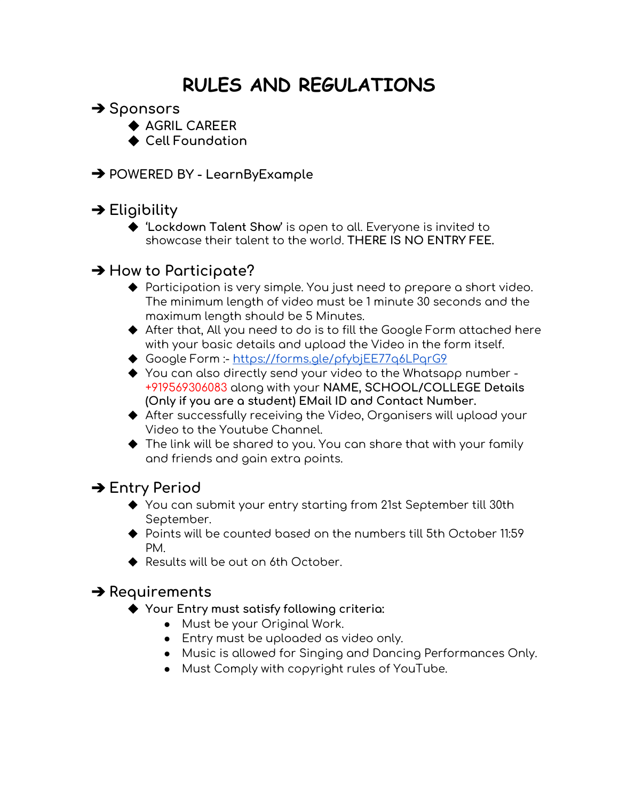# **RULES AND REGULATIONS**

- ➔ **Sponsors**
	- ◆ **AGRIL CAREER**
	- **◆ Cell Foundation**
- ➔ **POWERED BY - LearnByExample**

### ➔ **Eligibility**

◆ **'Lockdown Talent Show'** is open to all. Everyone is invited to showcase their talent to the world. **THERE IS NO ENTRY FEE.**

#### ➔ **How to Participate?**

- ◆ Participation is very simple. You just need to prepare a short video. The minimum length of video must be 1 minute 30 seconds and the maximum length should be 5 Minutes.
- ◆ After that, All you need to do is to fill the Google Form attached here with your basic details and upload the Video in the form itself.
- ◆ Google Form :- <https://forms.gle/pfybjEE77q6LPqrG9>
- ◆ You can also directly send your video to the Whatsapp number -+919569306083 along with your **NAME, SCHOOL/COLLEGE Details (Only if you are a student) EMail ID and Contact Number.**
- ◆ After successfully receiving the Video, Organisers will upload your Video to the Youtube Channel.
- ◆ The link will be shared to you. You can share that with your family and friends and gain extra points.

#### ➔ **Entry Period**

- ◆ You can submit your entry starting from 21st September till 30th September.
- ◆ Points will be counted based on the numbers till 5th October 11:59 PM.
- ◆ Results will be out on 6th October.

#### ➔ **Requirements**

- ◆ **Your Entry must satisfy following criteria:**
	- Must be your Original Work.
	- Entry must be uploaded as video only.
	- Music is allowed for Singing and Dancing Performances Only.
	- Must Comply with copyright rules of YouTube.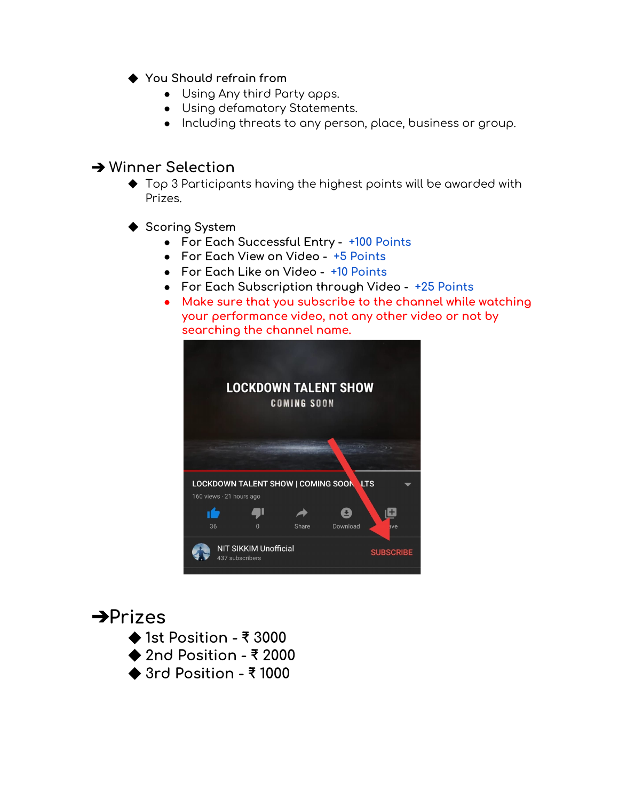- ◆ **You Should refrain from**
	- Using Any third Party apps.
	- Using defamatory Statements.
	- Including threats to any person, place, business or group.

#### ➔ **Winner Selection**

- $\blacklozenge$  Top 3 Participants having the highest points will be awarded with Prizes.
- ◆ **Scoring System**
	- **● For Each Successful Entry - +100 Points**
	- **● For Each View on Video - +5 Points**
	- **● For Each Like on Video - +10 Points**
	- **● For Each Subscription through Video - +25 Points**
	- **● Make sure that you subscribe to the channel while watching your performance video, not any other video or not by searching the channel name.**



## ➔**Prizes**



- ◆ **2nd Position - ₹ 2000**
- ◆ **3rd Position - ₹ 1000**